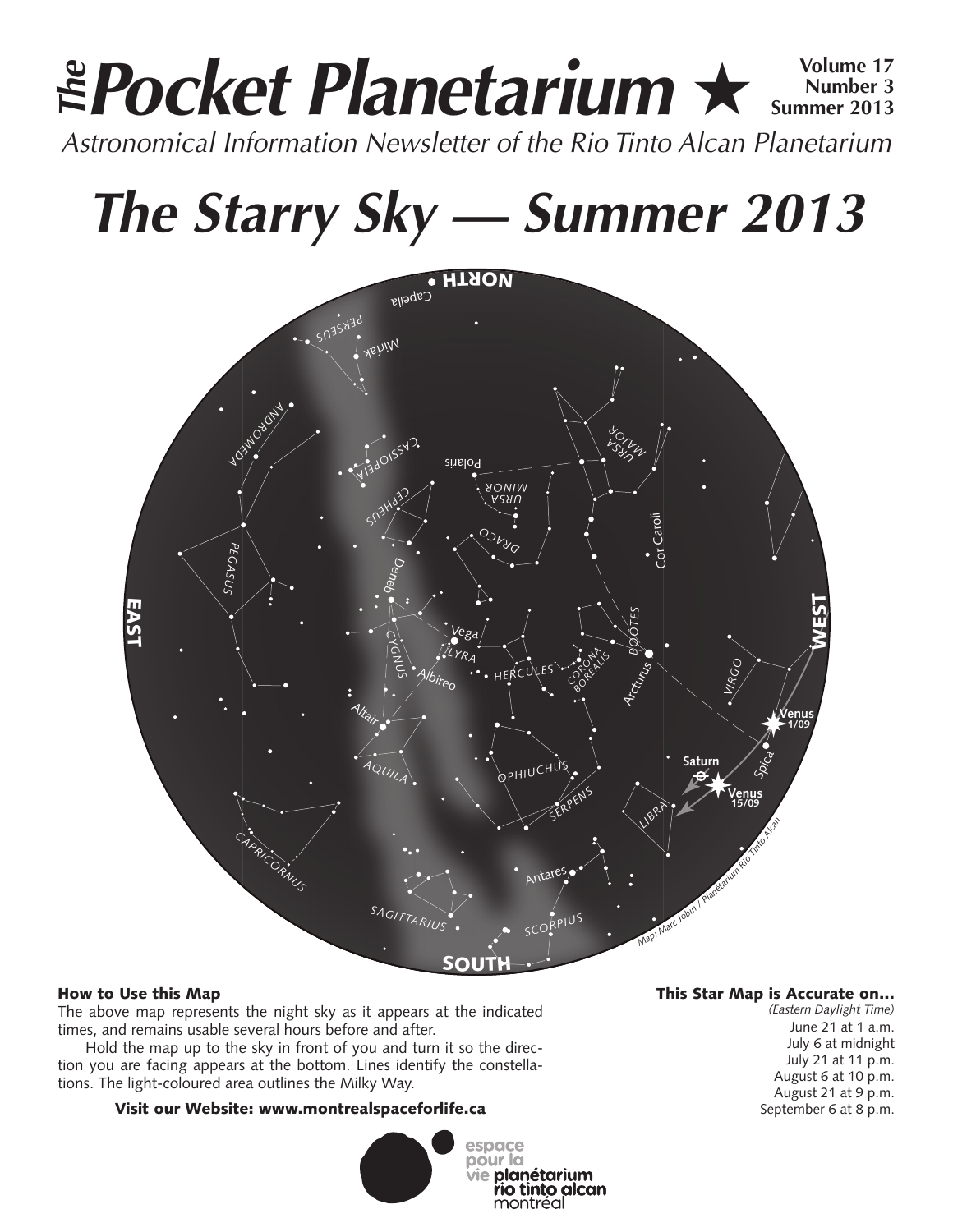### **Pocket Planetarium** ★ **Volume 17** Astronomical Information Newsletter of the Rio Tinto Alcan Planetarium **The Number 3 Summer 2013**

# **The Starry Sky — Summer 2013**



### How to Use this Map

The above map represents the night sky as it appears at the indicated times, and remains usable several hours before and after.

Hold the map up to the sky in front of you and turn it so the direction you are facing appears at the bottom. Lines identify the constellations. The light-coloured area outlines the Milky Way.

### Visit our Website: www.montrealspaceforlife.ca



### This Star Map is Accurate on…

*(Eastern Daylight Time)* June 21 at 1 a.m. July 6 at midnight July 21 at 11 p.m. August 6 at 10 p.m. August 21 at 9 p.m. September 6 at 8 p.m.